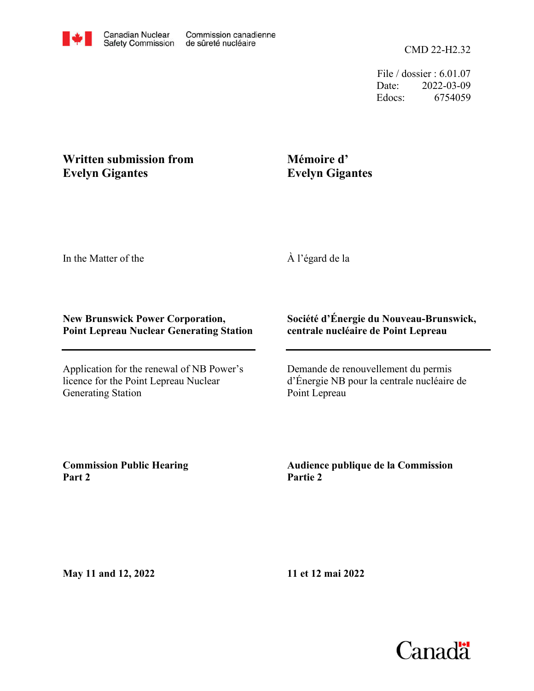File / dossier : 6.01.07 Date: 2022-03-09 Edocs: 6754059

### **Written submission from Evelyn Gigantes**

### **Mémoire d' Evelyn Gigantes**

In the Matter of the

À l'égard de la

#### **New Brunswick Power Corporation, Point Lepreau Nuclear Generating Station**

Application for the renewal of NB Power's licence for the Point Lepreau Nuclear Generating Station

#### **Société d'Énergie du Nouveau-Brunswick, centrale nucléaire de Point Lepreau**

Demande de renouvellement du permis d'Énergie NB pour la centrale nucléaire de Point Lepreau

**Commission Public Hearing Part 2**

**Audience publique de la Commission Partie 2**

**May 11 and 12, 2022**

**11 et 12 mai 2022**

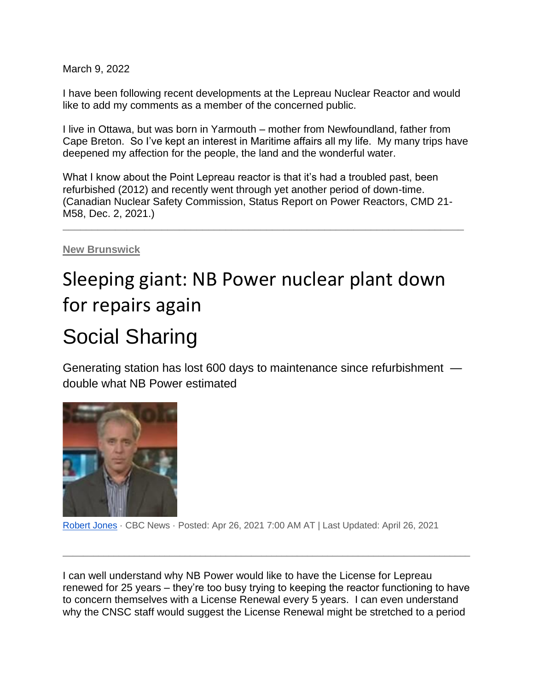March 9, 2022

I have been following recent developments at the Lepreau Nuclear Reactor and would like to add my comments as a member of the concerned public.

I live in Ottawa, but was born in Yarmouth – mother from Newfoundland, father from Cape Breton. So I've kept an interest in Maritime affairs all my life. My many trips have deepened my affection for the people, the land and the wonderful water.

What I know about the Point Lepreau reactor is that it's had a troubled past, been refurbished (2012) and recently went through yet another period of down-time. (Canadian Nuclear Safety Commission, Status Report on Power Reactors, CMD 21- M58, Dec. 2, 2021.)

**\_\_\_\_\_\_\_\_\_\_\_\_\_\_\_\_\_\_\_\_\_\_\_\_\_\_\_\_\_\_\_\_\_\_\_\_\_\_\_\_\_\_\_\_\_\_\_\_\_\_\_\_\_\_\_\_\_\_\_\_\_\_\_\_\_\_\_\_\_**

**[New Brunswick](https://www.cbc.ca/news/canada/new-brunswick)**

## Sleeping giant: NB Power nuclear plant down for repairs again

# Social Sharing

Generating station has lost 600 days to maintenance since refurbishment double what NB Power estimated



[Robert Jones](https://www.cbc.ca/news/canada/new-brunswick/author/robert-jones-1.2609078) · CBC News · Posted: Apr 26, 2021 7:00 AM AT | Last Updated: April 26, 2021

I can well understand why NB Power would like to have the License for Lepreau renewed for 25 years – they're too busy trying to keeping the reactor functioning to have to concern themselves with a License Renewal every 5 years. I can even understand why the CNSC staff would suggest the License Renewal might be stretched to a period

\_\_\_\_\_\_\_\_\_\_\_\_\_\_\_\_\_\_\_\_\_\_\_\_\_\_\_\_\_\_\_\_\_\_\_\_\_\_\_\_\_\_\_\_\_\_\_\_\_\_\_\_\_\_\_\_\_\_\_\_\_\_\_\_\_\_\_\_\_\_\_\_\_\_\_\_\_\_\_\_